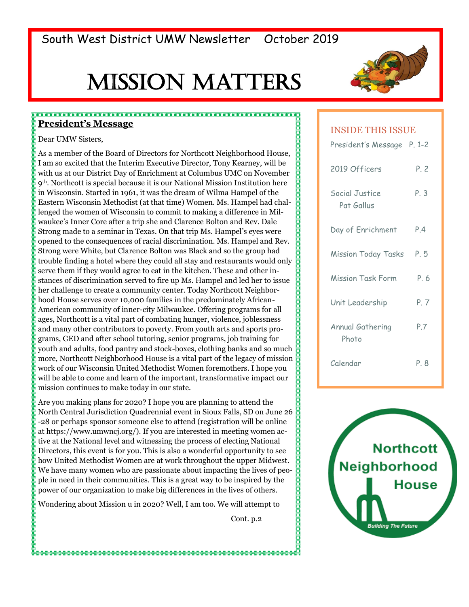# Mission Matters



#### **President's Message**

Dear UMW Sisters,

As a member of the Board of Directors for Northcott Neighborhood House, I am so excited that the Interim Executive Director, Tony Kearney, will be with us at our District Day of Enrichment at Columbus UMC on November 9th. Northcott is special because it is our National Mission Institution here in Wisconsin. Started in 1961, it was the dream of Wilma Hampel of the Eastern Wisconsin Methodist (at that time) Women. Ms. Hampel had challenged the women of Wisconsin to commit to making a difference in Milwaukee's Inner Core after a trip she and Clarence Bolton and Rev. Dale Strong made to a seminar in Texas. On that trip Ms. Hampel's eyes were opened to the consequences of racial discrimination. Ms. Hampel and Rev. Strong were White, but Clarence Bolton was Black and so the group had trouble finding a hotel where they could all stay and restaurants would only serve them if they would agree to eat in the kitchen. These and other instances of discrimination served to fire up Ms. Hampel and led her to issue her challenge to create a community center. Today Northcott Neighborhood House serves over 10,000 families in the predominately African-American community of inner-city Milwaukee. Offering programs for all ages, Northcott is a vital part of combating hunger, violence, joblessness and many other contributors to poverty. From youth arts and sports programs, GED and after school tutoring, senior programs, job training for youth and adults, food pantry and stock-boxes, clothing banks and so much more, Northcott Neighborhood House is a vital part of the legacy of mission work of our Wisconsin United Methodist Women foremothers. I hope you will be able to come and learn of the important, transformative impact our mission continues to make today in our state.

Are you making plans for 2020? I hope you are planning to attend the North Central Jurisdiction Quadrennial event in Sioux Falls, SD on June 26 -28 or perhaps sponsor someone else to attend (registration will be online at https://www.umwncj.org/). If you are interested in meeting women active at the National level and witnessing the process of electing National Directors, this event is for you. This is also a wonderful opportunity to see how United Methodist Women are at work throughout the upper Midwest. We have many women who are passionate about impacting the lives of people in need in their communities. This is a great way to be inspired by the power of our organization to make big differences in the lives of others.

Wondering about Mission u in 2020? Well, I am too. We will attempt to

Cont. p.2

#### INSIDE THIS ISSUE

| President's Message P. 1-2   |      |
|------------------------------|------|
| 2019 Officers                | P.2  |
| Social Justice<br>Pat Gallus | P. 3 |
| Day of Enrichment            | P.4  |
| <b>Mission Today Tasks</b>   | P. 5 |
| <b>Mission Task Form</b>     | P. 6 |
| Unit Leadership              | P. 7 |
| Annual Gathering<br>Photo    | P.7  |
| Calendar                     | P. 8 |

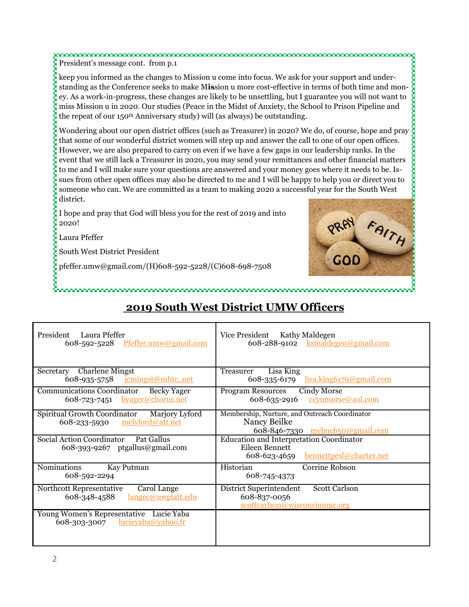President's message cont. from p.1

keep you informed as the changes to Mission u come into focus. We ask for your support and understanding as the Conference seeks to make M**is**sion u more cost-effective in terms of both time and money. As a work-in-progress, these changes are likely to be unsettling, but I guarantee you will not want to miss Mission u in 2020. Our studies (Peace in the Midst of Anxiety, the School to Prison Pipeline and the repeat of our 150<sup>th</sup> Anniversary study) will (as always) be outstanding.

Wondering about our open district offices (such as Treasurer) in 2020? We do, of course, hope and pray that some of our wonderful district women will step up and answer the call to one of our open offices. However, we are also prepared to carry on even if we have a few gaps in our leadership ranks. In the event that we still lack a Treasurer in 2020, you may send your remittances and other financial matters to me and I will make sure your questions are answered and your money goes where it needs to be. Issues from other open offices may also be directed to me and I will be happy to help you or direct you to someone who can. We are committed as a team to making 2020 a successful year for the South West district.

I hope and pray that God will bless you for the rest of 2019 and into 2020!

Laura Pfeffer

South West District President

pfeffer.umw@gmail.com/(H)608-592-5228/(C)608-698-7508



## **2019 South West District UMW Officers**

| President Laura Pfeffer                                                                     | Vice President Kathy Maldegen                                                                         |
|---------------------------------------------------------------------------------------------|-------------------------------------------------------------------------------------------------------|
| 608-592-5228 Pfeffer.umw@gmail.com                                                          | 608-288-9102 ksmaldegen@gmail.com                                                                     |
| <b>Charlene Mingst</b>                                                                      | Lisa King                                                                                             |
| Secretary                                                                                   | Treasurer                                                                                             |
| 608-935-5758 <u>jemingst</u> @mhtcnet                                                       | 608-335-6179 lisa.king 6179@gmail.com                                                                 |
| <b>Communications Coordinator</b><br>Becky Yager<br>$608 - 723 - 7451$ by age r@ chorus.net | <b>Program Resources</b><br>Cindy Morse<br>608-635-2916<br>ccynmorse@aol.com                          |
| Spiritual Growth Coordinator<br>Marjory Lyford<br><u>mclyford@att.net</u><br>608-233-5930   | Membership, Nurture, and Outreach Coordinator<br>Nancy Beilke<br>608-846-7330 mebncb50@gmail.com      |
| Social Action Coordinator Pat Gallus<br>608-393-9267 ptgallus@gmail.com                     | Education and Interpretation Coordinator<br>Eileen Bennett<br>bennettpesl@charter.net<br>608-623-4659 |
| <b>Nominations</b>                                                                          | Corrine Robson                                                                                        |
| Kay Putman                                                                                  | Historian                                                                                             |
| 608-592-2294                                                                                | 608-745-4373                                                                                          |
| Carol Lange                                                                                 | <b>Scott Carlson</b>                                                                                  |
| Northcott Representative                                                                    | District Superintendent                                                                               |
| langec@uwplatt.edu                                                                          | 608-837-0056                                                                                          |
| 608-348-4588                                                                                | scottcarlson@wisconsinumc.org                                                                         |
| Young Women's Representative Lucie Yaba<br>608-303-3007 $lucievaba@vahoo.fr$                |                                                                                                       |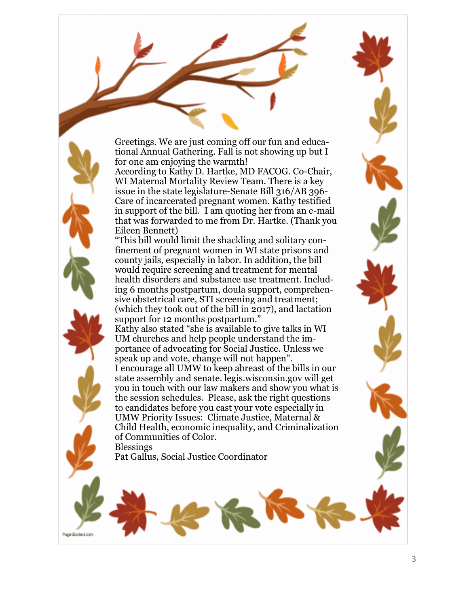Greetings. We are just coming off our fun and educational Annual Gathering. Fall is not showing up but I for one am enjoying the warmth!

According to Kathy D. Hartke, MD FACOG. Co-Chair, WI Maternal Mortality Review Team. There is a key issue in the state legislature-Senate Bill 316/AB 396- Care of incarcerated pregnant women. Kathy testified in support of the bill. I am quoting her from an e-mail that was forwarded to me from Dr. Hartke. (Thank you Eileen Bennett)

"This bill would limit the shackling and solitary confinement of pregnant women in WI state prisons and county jails, especially in labor. In addition, the bill would require screening and treatment for mental health disorders and substance use treatment. Including 6 months postpartum, doula support, comprehensive obstetrical care, STI screening and treatment; (which they took out of the bill in 2017), and lactation support for 12 months postpartum."

Kathy also stated "she is available to give talks in WI UM churches and help people understand the importance of advocating for Social Justice. Unless we speak up and vote, change will not happen". I encourage all UMW to keep abreast of the bills in our state assembly and senate. legis.wisconsin.gov will get you in touch with our law makers and show you what is the session schedules. Please, ask the right questions to candidates before you cast your vote especially in UMW Priority Issues: Climate Justice, Maternal & Child Health, economic inequality, and Criminalization of Communities of Color. Blessings

Pat Gallus, Social Justice Coordinator

Page-Borders.com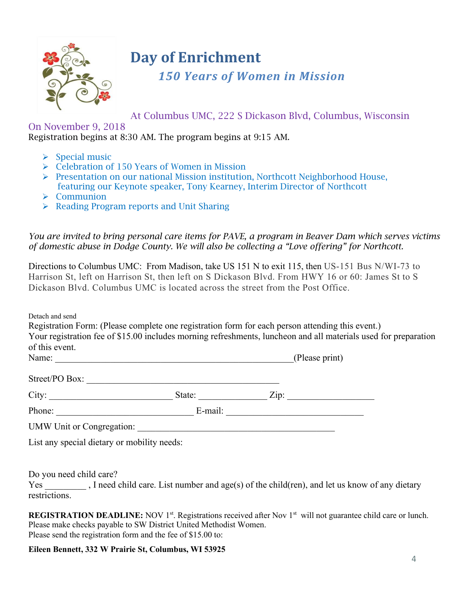

## **Day of Enrichment**

*150 Years of Women in Mission*

At Columbus UMC, 222 S Dickason Blvd, Columbus, Wisconsin

On November 9, 2018 Registration begins at 8:30 AM. The program begins at 9:15 AM.

- ➢ Special music
- ➢ Celebration of 150 Years of Women in Mission
- ➢ Presentation on our national Mission institution, Northcott Neighborhood House, featuring our Keynote speaker, Tony Kearney, Interim Director of Northcott
- ➢ Communion
- ➢ Reading Program reports and Unit Sharing

*You are invited to bring personal care items for PAVE, a program in Beaver Dam which serves victims of domestic abuse in Dodge County. We will also be collecting a "Love offering" for Northcott.*

You are invited to bring personal care items for PAVE, a program in Beaver Dam which serves vice of domestic abuse in Dodge County. We will also be collecting a "Love offering" for Northcott.<br>Directions to Columbus UMC: Fr Harrison St, left on Harrison St, then left on S Dickason Blvd. From HWY 16 or 60: James St to S Dickason Blvd. Columbus UMC is located across the street from the Post Office.

Detach and send

 $S_{\text{t} \text{mod}} / D \cap D_{\text{ext}}$ 

| Registration Form: (Please complete one registration form for each person attending this event.)                |  |
|-----------------------------------------------------------------------------------------------------------------|--|
| Your registration fee of \$15.00 includes morning refreshments, luncheon and all materials used for preparation |  |
| of this event.                                                                                                  |  |
|                                                                                                                 |  |

| <b>NT</b><br>INЯN<br>- <b><i><u>Literatu</u></i></b> | <br>- |
|------------------------------------------------------|-------|
|                                                      |       |

| ⊃u∪<br>.<br>. סטע.<br>$\sim$ u $-$ |    |               |  |
|------------------------------------|----|---------------|--|
| $\sim$<br>$\sim$ 10                | ™≏ | _<br>$\cdots$ |  |

| $\mathbf{r}$<br>. .<br>.<br>--- |  |  |
|---------------------------------|--|--|
|---------------------------------|--|--|

UMW Unit or Congregation:

List any special dietary or mobility needs:

Do you need child care?

Yes , I need child care. List number and age(s) of the child(ren), and let us know of any dietary restrictions.

**REGISTRATION DEADLINE:** NOV 1<sup>st</sup>. Registrations received after Nov 1<sup>st</sup> will not guarantee child care or lunch. Please make checks payable to SW District United Methodist Women. Please send the registration form and the fee of \$15.00 to:

#### **Eileen Bennett, 332 W Prairie St, Columbus, WI 53925**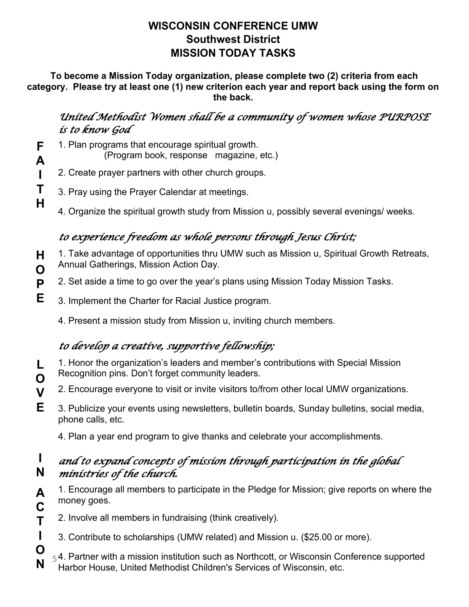#### **WISCONSIN CONFERENCE UMW Southwest District MISSION TODAY TASKS**

**To become a Mission Today organization, please complete two (2) criteria from each category. Please try at least one (1) new criterion each year and report back using the form on the back.**

### *United Methodist Women shall be a community of women whose PURPOSE is to know God*

**F** 1. Plan programs that encourage spiritual growth.

**A**

**T H**

**A C T**

**I O N**

- (Program book, response magazine, etc.)
- **I** 2. Create prayer partners with other church groups.
	- 3. Pray using the Prayer Calendar at meetings.
		- 4. Organize the spiritual growth study from Mission u, possibly several evenings/ weeks.

## *to experience freedom as whole persons through Jesus Christ;*

- **H O** 1. Take advantage of opportunities thru UMW such as Mission u, Spiritual Growth Retreats, Annual Gatherings, Mission Action Day.
- **P** 2. Set aside a time to go over the year's plans using Mission Today Mission Tasks.
- **E** 3. Implement the Charter for Racial Justice program.
	- 4. Present a mission study from Mission u, inviting church members.

## *to develop a creative, supportive fellowship;*

- **L O** 1. Honor the organization's leaders and member's contributions with Special Mission Recognition pins. Don't forget community leaders.
- **V** 2. Encourage everyone to visit or invite visitors to/from other local UMW organizations.
- **E** 3. Publicize your events using newsletters, bulletin boards, Sunday bulletins, social media, phone calls, etc.
	- 4. Plan a year end program to give thanks and celebrate your accomplishments.

#### **I N** *and to expand concepts of mission through participation in the global ministries of the church.*

- 1. Encourage all members to participate in the Pledge for Mission; give reports on where the money goes.
	- 2. Involve all members in fundraising (think creatively).
	- 3. Contribute to scholarships (UMW related) and Mission u. (\$25.00 or more).
- $_5$ 4. Partner with a mission institution such as Northcott, or Wisconsin Conference supported Harbor House, United Methodist Children's Services of Wisconsin, etc.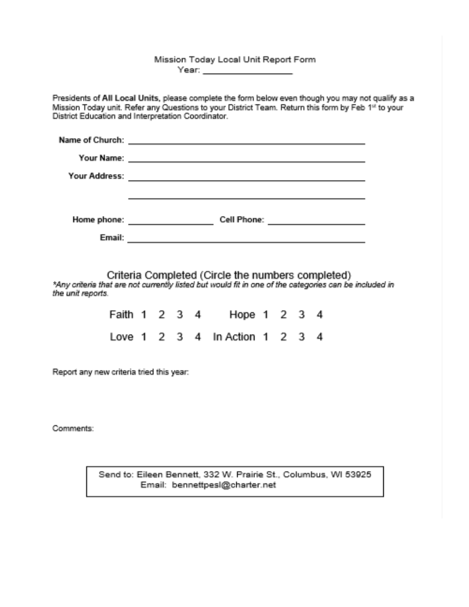Mission Today Local Unit Report Form Year: www.communications.com

Presidents of All Local Units, please complete the form below even though you may not qualify as a Mission Today unit. Refer any Questions to your District Team. Return this form by Feb 1st to your District Education and Interpretation Coordinator.

| Name of Church: |             |
|-----------------|-------------|
| Your Name:      |             |
| Your Address:   |             |
|                 |             |
|                 |             |
| Home phone:     | Cell Phone: |
| Email:          |             |

Criteria Completed (Circle the numbers completed)<br>\*Any criteria that are not currently listed but would fit in one of the categories can be included in the unit reports.

|  |  | Faith 1 2 3 4 Hope 1 2 3 4     |  |  |
|--|--|--------------------------------|--|--|
|  |  | Love 1 2 3 4 In Action 1 2 3 4 |  |  |

Report any new criteria tried this year:

Comments:

Send to: Eileen Bennett, 332 W. Prairie St., Columbus, WI 53925 Email: bennettpesl@charter.net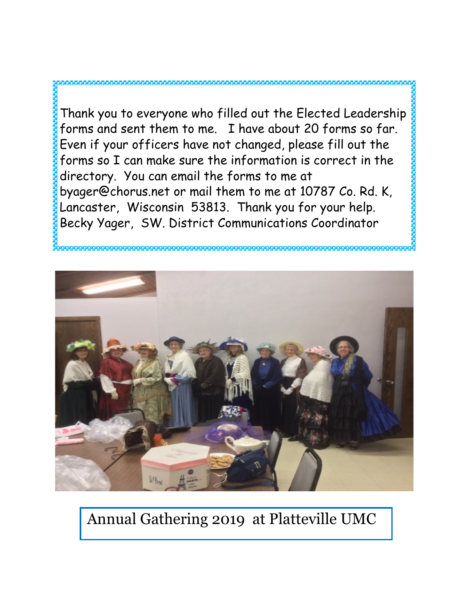Thank you to everyone who filled out the Elected Leadership forms and sent them to me. I have about 20 forms so far. Even if your officers have not changed, please fill out the forms so I can make sure the information is correct in the directory. You can email the forms to me at byager@chorus.net or mail them to me at 10787 Co. Rd. K, Lancaster, Wisconsin 53813. Thank you for your help. Becky Yager, SW. District Communications Coordinator





## Annual Gathering 2019 at Platteville UMC